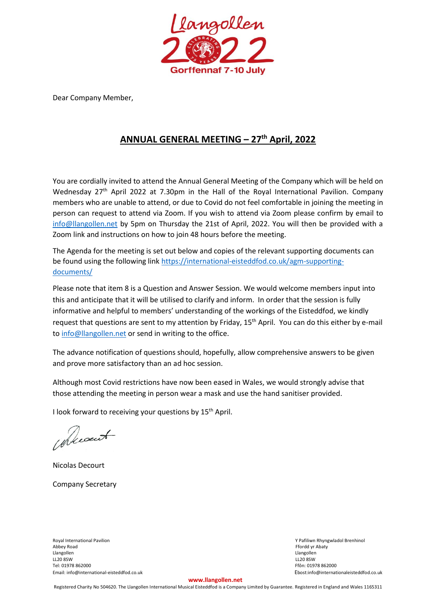

Dear Company Member,

### **ANNUAL GENERAL MEETING – 27 th April, 2022**

You are cordially invited to attend the Annual General Meeting of the Company which will be held on Wednesday 27<sup>th</sup> April 2022 at 7.30pm in the Hall of the Royal International Pavilion. Company members who are unable to attend, or due to Covid do not feel comfortable in joining the meeting in person can request to attend via Zoom. If you wish to attend via Zoom please confirm by email to [info@llangollen.net](mailto:info@llangollen.net) by 5pm on Thursday the 21st of April, 2022. You will then be provided with a Zoom link and instructions on how to join 48 hours before the meeting.

The Agenda for the meeting is set out below and copies of the relevant supporting documents can be found using the following link [https://international-eisteddfod.co.uk/agm-supporting](https://international-eisteddfod.co.uk/agm-supporting-documents/)[documents/](https://international-eisteddfod.co.uk/agm-supporting-documents/)

Please note that item 8 is a Question and Answer Session. We would welcome members input into this and anticipate that it will be utilised to clarify and inform. In order that the session is fully informative and helpful to members' understanding of the workings of the Eisteddfod, we kindly request that questions are sent to my attention by Friday, 15<sup>th</sup> April. You can do this either by e-mail to [info@llangollen.net](mailto:info@llangollen.net) or send in writing to the office.

The advance notification of questions should, hopefully, allow comprehensive answers to be given and prove more satisfactory than an ad hoc session.

Although most Covid restrictions have now been eased in Wales, we would strongly advise that those attending the meeting in person wear a mask and use the hand sanitiser provided.

I look forward to receiving your questions by 15<sup>th</sup> April.

alecount

Nicolas Decourt Company Secretary

Royal International Pavilion and The Communicational Pavilion School of Paris and The Communication of Paris and The Communication of Paris and The Communication of Paris and Abbey Road Frontier and Abbey Road Communicatio Abbey Road Ffordd yr Abaty and the Second Second Second Second Second Second Second Second Second Second Second Second Second Second Second Second Second Second Second Second Second Second Second Second Second Second Secon Llangollen Llangollen LL20 8SW LL20 8SW Tel: 01978 862000 Ffôn: 01978 862000 Email: info@international-eisteddfod.co.uk Ebost:info@internationaleisteddfod.co.uk

#### **www.llangollen.net**

Registered Charity No 504620. The Llangollen International Musical Eisteddfod is a Company Limited by Guarantee. Registered in England and Wales 1165311